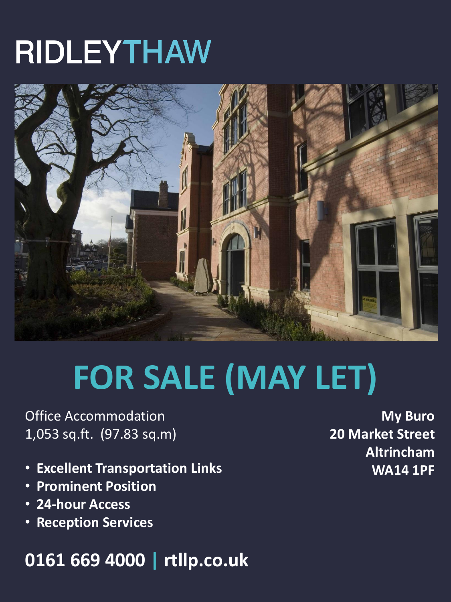# **RIDLEYTHAW**



# **FOR SALE (MAY LET)**

Office Accommodation 1,053 sq.ft. (97.83 sq.m)

- **Excellent Transportation Links**
- **Prominent Position**
- **24-hour Access**
- **Reception Services**

### **0161 669 4000 | rtllp.co.uk**

**My Buro 20 Market Street Altrincham WA14 1PF**